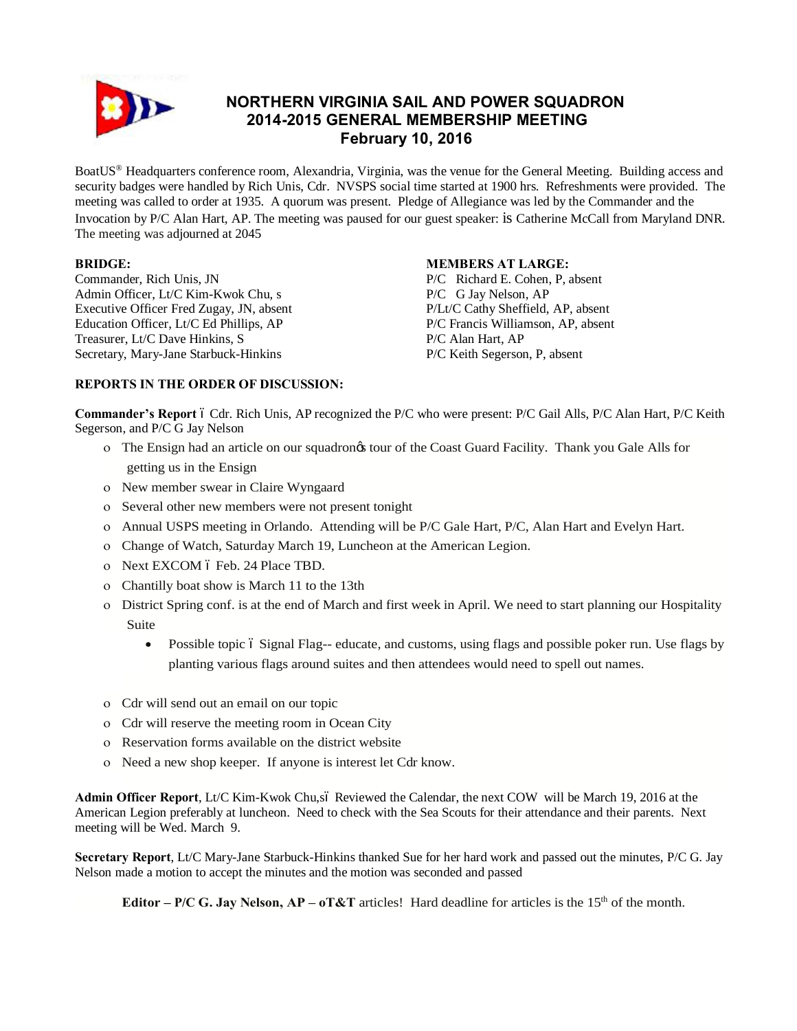

# **NORTHERN VIRGINIA SAIL AND POWER SQUADRON 2014-2015 GENERAL MEMBERSHIP MEETING February 10, 2016**

BoatUS® Headquarters conference room, Alexandria, Virginia, was the venue for the General Meeting. Building access and security badges were handled by Rich Unis, Cdr. NVSPS social time started at 1900 hrs. Refreshments were provided. The meeting was called to order at 1935. A quorum was present. Pledge of Allegiance was led by the Commander and the Invocation by P/C Alan Hart, AP. The meeting was paused for our guest speaker: is Catherine McCall from Maryland DNR. The meeting was adjourned at 2045

### **BRIDGE:**

Commander, Rich Unis, JN Admin Officer, Lt/C Kim-Kwok Chu, s Executive Officer Fred Zugay, JN, absent Education Officer, Lt/C Ed Phillips, AP Treasurer, Lt/C Dave Hinkins, S Secretary, Mary-Jane Starbuck-Hinkins

### **MEMBERS AT LARGE:**

P/C Richard E. Cohen, P, absent P/C G Jay Nelson, AP P/Lt/C Cathy Sheffield, AP, absent P/C Francis Williamson, AP, absent P/C Alan Hart, AP P/C Keith Segerson, P, absent

# **REPORTS IN THE ORDER OF DISCUSSION:**

**Commander's Report** 6 Cdr. Rich Unis, AP recognized the P/C who were present: P/C Gail Alls, P/C Alan Hart, P/C Keith Segerson, and P/C G Jay Nelson

- o The Ensign had an article on our squadron's tour of the Coast Guard Facility. Thank you Gale Alls for getting us in the Ensign
- o New member swear in Claire Wyngaard
- o Several other new members were not present tonight
- o Annual USPS meeting in Orlando. Attending will be P/C Gale Hart, P/C, Alan Hart and Evelyn Hart.
- o Change of Watch, Saturday March 19, Luncheon at the American Legion.
- o Next EXCOM ó Feb. 24 Place TBD.
- o Chantilly boat show is March 11 to the 13th
- o District Spring conf. is at the end of March and first week in April. We need to start planning our Hospitality Suite
	- Possible topic 6 Signal Flag-- educate, and customs, using flags and possible poker run. Use flags by planting various flags around suites and then attendees would need to spell out names.
- o Cdr will send out an email on our topic
- o Cdr will reserve the meeting room in Ocean City
- o Reservation forms available on the district website
- o Need a new shop keeper. If anyone is interest let Cdr know.

**Admin Officer Report**, Lt/C Kim-Kwok Chu,só Reviewed the Calendar, the next COW will be March 19, 2016 at the American Legion preferably at luncheon. Need to check with the Sea Scouts for their attendance and their parents. Next meeting will be Wed. March 9.

**Secretary Report**, Lt/C Mary-Jane Starbuck-Hinkins thanked Sue for her hard work and passed out the minutes, P/C G. Jay Nelson made a motion to accept the minutes and the motion was seconded and passed

**Editor –**  $P/C$  **G. Jay Nelson,**  $AP - oT&T$  **articles! Hard deadline for articles is the 15<sup>th</sup> of the month.**